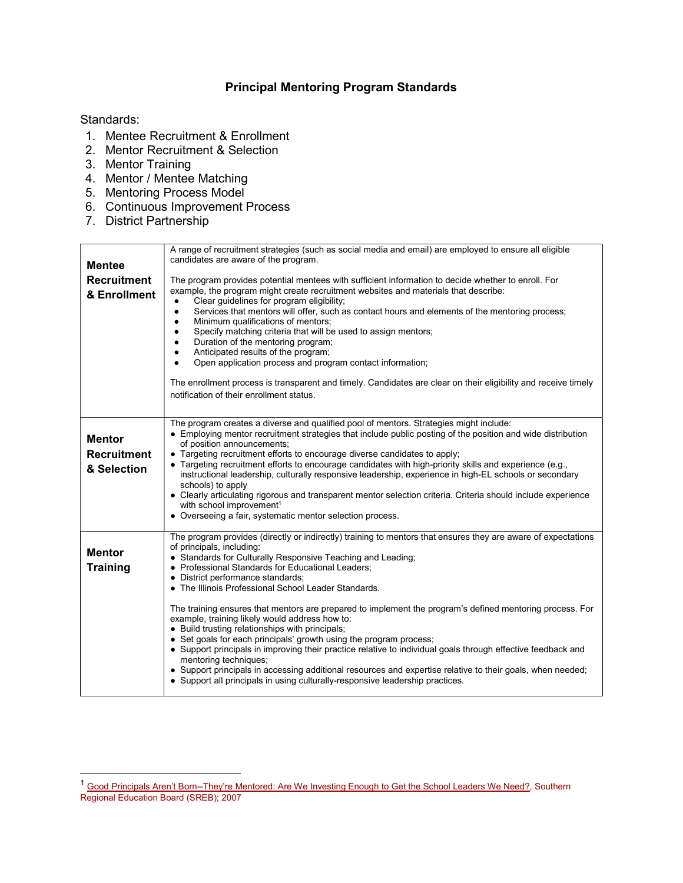## Principal Mentoring Program Standards

## Standards:

 $\overline{a}$ 

- 1. Mentee Recruitment & Enrollment
- 2. Mentor Recruitment & Selection
- 3. Mentor Training
- 4. Mentor / Mentee Matching
- 5. Mentoring Process Model
- 6. Continuous Improvement Process
- 7. District Partnership

| <b>Mentee</b><br><b>Recruitment</b><br>& Enrollment | A range of recruitment strategies (such as social media and email) are employed to ensure all eligible<br>candidates are aware of the program.<br>The program provides potential mentees with sufficient information to decide whether to enroll. For<br>example, the program might create recruitment websites and materials that describe:<br>Clear guidelines for program eligibility;<br>$\bullet$<br>Services that mentors will offer, such as contact hours and elements of the mentoring process;<br>$\bullet$<br>Minimum qualifications of mentors;<br>٠<br>Specify matching criteria that will be used to assign mentors;<br>٠<br>Duration of the mentoring program;<br>Anticipated results of the program;<br>Open application process and program contact information;<br>The enrollment process is transparent and timely. Candidates are clear on their eligibility and receive timely<br>notification of their enrollment status.                                            |
|-----------------------------------------------------|--------------------------------------------------------------------------------------------------------------------------------------------------------------------------------------------------------------------------------------------------------------------------------------------------------------------------------------------------------------------------------------------------------------------------------------------------------------------------------------------------------------------------------------------------------------------------------------------------------------------------------------------------------------------------------------------------------------------------------------------------------------------------------------------------------------------------------------------------------------------------------------------------------------------------------------------------------------------------------------------|
| <b>Mentor</b><br><b>Recruitment</b><br>& Selection  | The program creates a diverse and qualified pool of mentors. Strategies might include:<br>• Employing mentor recruitment strategies that include public posting of the position and wide distribution<br>of position announcements;<br>• Targeting recruitment efforts to encourage diverse candidates to apply;<br>• Targeting recruitment efforts to encourage candidates with high-priority skills and experience (e.g.,<br>instructional leadership, culturally responsive leadership, experience in high-EL schools or secondary<br>schools) to apply<br>• Clearly articulating rigorous and transparent mentor selection criteria. Criteria should include experience<br>with school improvement <sup>1</sup><br>• Overseeing a fair, systematic mentor selection process.                                                                                                                                                                                                           |
| <b>Mentor</b><br><b>Training</b>                    | The program provides (directly or indirectly) training to mentors that ensures they are aware of expectations<br>of principals, including:<br>• Standards for Culturally Responsive Teaching and Leading;<br>• Professional Standards for Educational Leaders;<br>• District performance standards;<br>• The Illinois Professional School Leader Standards.<br>The training ensures that mentors are prepared to implement the program's defined mentoring process. For<br>example, training likely would address how to:<br>• Build trusting relationships with principals;<br>• Set goals for each principals' growth using the program process;<br>• Support principals in improving their practice relative to individual goals through effective feedback and<br>mentoring techniques;<br>• Support principals in accessing additional resources and expertise relative to their goals, when needed;<br>• Support all principals in using culturally-responsive leadership practices. |

<sup>&</sup>lt;sup>1</sup> Good Principals Aren't Born--They're Mentored: Are We Investing Enough to Get the School Leaders We Need?, Southern Regional Education Board (SREB); 2007